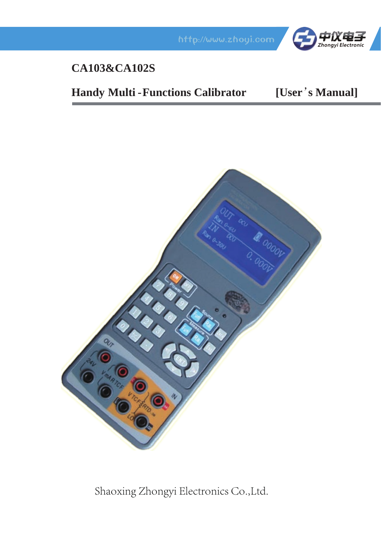

### **CA103&CA102S**

### **Handy Multi -Functions Calibrator [User's Manual]**



Shaoxing Zhongyi Electronics Co.,Ltd.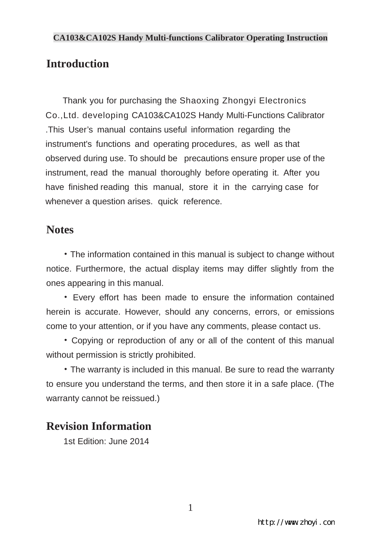### **Introduction**

 Thank you for purchasing the Shaoxing Zhongyi Electronics Co.,Ltd. developing CA103&CA102S Handy Multi-Functions Calibrator .This User's manual contains useful information regarding the instrument's functions and operating procedures, as well as that observed during use. To should be precautions ensure proper use of the instrument, read the manual thoroughly before operating it. After you have finished reading this manual, store it in the carrying case for whenever a question arises. quick reference.

### **Notes**

• The information contained in this manual is subject to change without notice. Furthermore, the actual display items may differ slightly from the ones appearing in this manual.

• Every effort has been made to ensure the information contained herein is accurate. However, should any concerns, errors, or emissions come to your attention, or if you have any comments, please contact us.

• Copying or reproduction of any or all of the content of this manual without permission is strictly prohibited.

• The warranty is included in this manual. Be sure to read the warranty to ensure you understand the terms, and then store it in a safe place. (The warranty cannot be reissued.)

### **Revision Information**

1st Edition: June 2014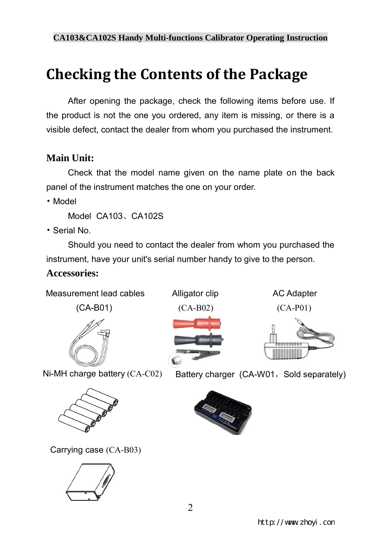# **Checking the Contents of the Package**

After opening the package, check the following items before use. If the product is not the one you ordered, any item is missing, or there is a visible defect, contact the dealer from whom you purchased the instrument.

### **Main Unit:**

Check that the model name given on the name plate on the back panel of the instrument matches the one on your order.

• Model

Model CA103、CA102S

• Serial No.

Should you need to contact the dealer from whom you purchased the instrument, have your unit's serial number handy to give to the person.

### **Accessories:**

Measurement lead cables





Alligator clip (CA-B02)



AC Adapter

Ni-MH charge battery (CA-C02)

Battery charger (CA-W01, Sold separately)



Carrying case (CA-B03)



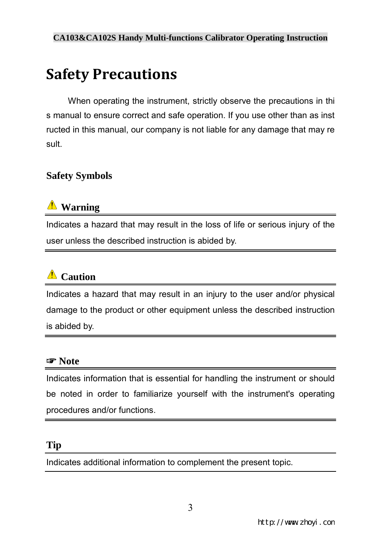# **Safety Precautions**

When operating the instrument, strictly observe the precautions in thi s manual to ensure correct and safe operation. If you use other than as inst ructed in this manual, our company is not liable for any damage that may re sult.

### **Safety Symbols**

# **Warning**

Indicates a hazard that may result in the loss of life or serious injury of the user unless the described instruction is abided by.

# **<sup>△</sup>**Caution

Indicates a hazard that may result in an injury to the user and/or physical damage to the product or other equipment unless the described instruction is abided by.

### ☞ **Note**

Indicates information that is essential for handling the instrument or should be noted in order to familiarize yourself with the instrument's operating procedures and/or functions.

### **Tip**

Indicates additional information to complement the present topic.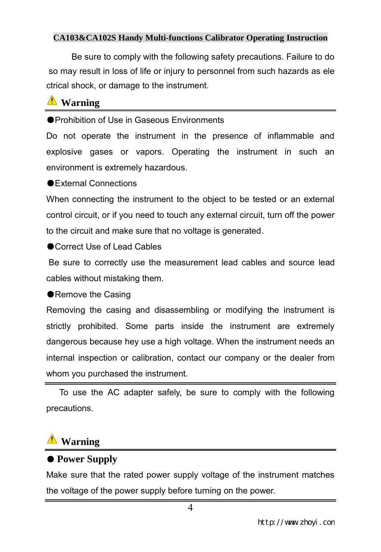Be sure to comply with the following safety precautions. Failure to do so may result in loss of life or injury to personnel from such hazards as ele ctrical shock, or damage to the instrument.

### **Warning**

●Prohibition of Use in Gaseous Environments

Do not operate the instrument in the presence of inflammable and explosive gases or vapors. Operating the instrument in such an environment is extremely hazardous.

● External Connections

When connecting the instrument to the object to be tested or an external control circuit, or if you need to touch any external circuit, turn off the power to the circuit and make sure that no voltage is generated.

● Correct Use of Lead Cables

Be sure to correctly use the measurement lead cables and source lead cables without mistaking them.

●Remove the Casing

Removing the casing and disassembling or modifying the instrument is strictly prohibited. Some parts inside the instrument are extremely dangerous because hey use a high voltage. When the instrument needs an internal inspection or calibration, contact our company or the dealer from whom you purchased the instrument.

To use the AC adapter safely, be sure to comply with the following precautions.

### **Warning**

### ● **Power Supply**

Make sure that the rated power supply voltage of the instrument matches the voltage of the power supply before turning on the power.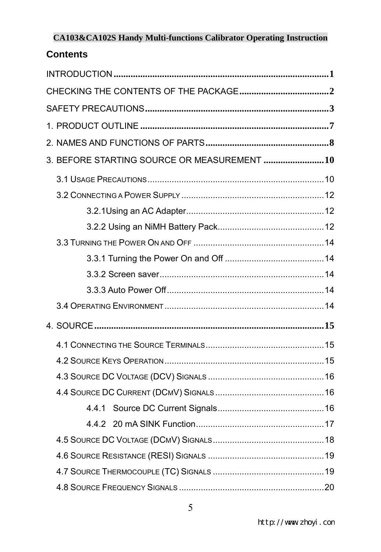### **Contents**

| 3. BEFORE STARTING SOURCE OR MEASUREMENT 10 |  |
|---------------------------------------------|--|
|                                             |  |
|                                             |  |
|                                             |  |
|                                             |  |
|                                             |  |
|                                             |  |
|                                             |  |
|                                             |  |
|                                             |  |
|                                             |  |
|                                             |  |
|                                             |  |
|                                             |  |
|                                             |  |
|                                             |  |
|                                             |  |
|                                             |  |
|                                             |  |
|                                             |  |
|                                             |  |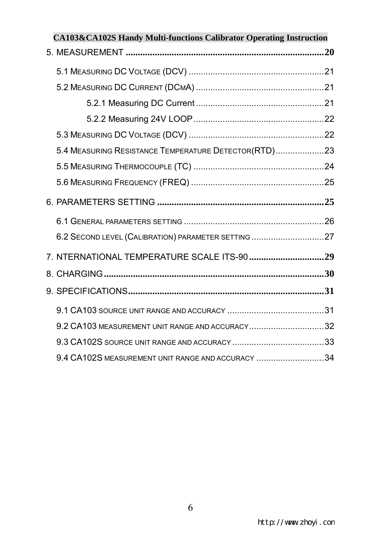| CA103&CA102S Handy Multi-functions Calibrator Operating Instruction |  |
|---------------------------------------------------------------------|--|
|                                                                     |  |
|                                                                     |  |
|                                                                     |  |
|                                                                     |  |
|                                                                     |  |
|                                                                     |  |
| 5.4 MEASURING RESISTANCE TEMPERATURE DETECTOR(RTD)23                |  |
|                                                                     |  |
|                                                                     |  |
|                                                                     |  |
|                                                                     |  |
| 6.2 SECOND LEVEL (CALIBRATION) PARAMETER SETTING 27                 |  |
| 7. NTERNATIONAL TEMPERATURE SCALE ITS-9029                          |  |
|                                                                     |  |
|                                                                     |  |
|                                                                     |  |
| 9.2 CA103 MEASUREMENT UNIT RANGE AND ACCURACY32                     |  |
|                                                                     |  |
| 9.4 CA102S MEASUREMENT UNIT RANGE AND ACCURACY 34                   |  |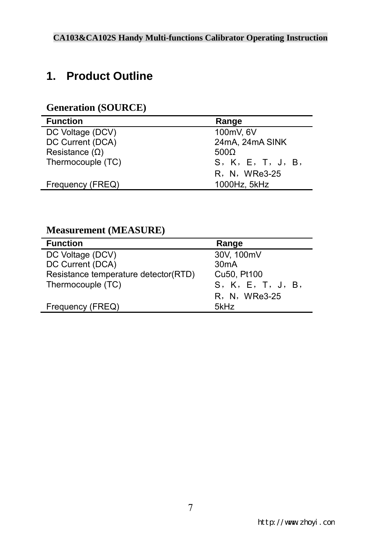# **1. Product Outline**

### **Generation (SOURCE)**

| <b>Function</b>       | Range             |
|-----------------------|-------------------|
| DC Voltage (DCV)      | 100mV, 6V         |
| DC Current (DCA)      | 24mA, 24mA SINK   |
| Resistance $(\Omega)$ | 500 $\Omega$      |
| Thermocouple (TC)     | S, K, E, T, J, B, |
|                       | R. N. WRe3-25     |
| Frequency (FREQ)      | 1000Hz, 5kHz      |

### **Measurement (MEASURE)**

| <b>Function</b>                      | Range             |
|--------------------------------------|-------------------|
| DC Voltage (DCV)                     | 30V, 100mV        |
| DC Current (DCA)                     | 30 <sub>m</sub> A |
| Resistance temperature detector(RTD) | Cu50, Pt100       |
| Thermocouple (TC)                    | S, K, E, T, J, B, |
|                                      | R. N. WRe3-25     |
| Frequency (FREQ)                     | 5kHz              |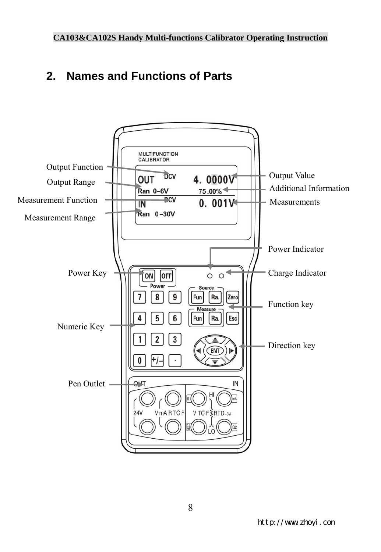# **2. Names and Functions of Parts**

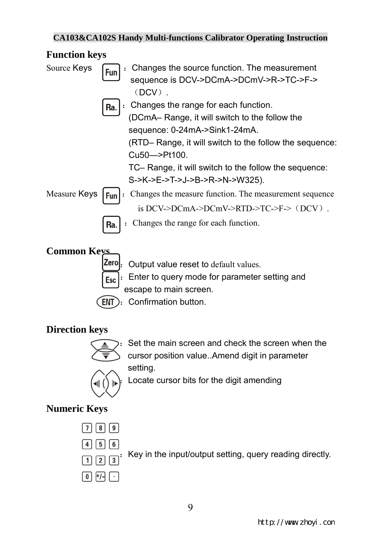

### **Direction keys**



Set the main screen and check the screen when the cursor position value..Amend digit in parameter setting.



Locate cursor bits for the digit amending

### **Numeric Keys**

|--|--|--|--|

- $4 | 5 | 6$
- 
- $\boxed{0}$   $\boxed{+}$   $\boxed{\cdot}$

Key in the input/output setting, query reading directly.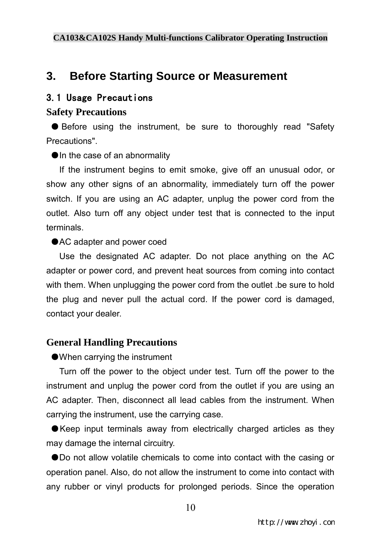### **3. Before Starting Source or Measurement**

#### 3.1 Usage Precautions

#### **Safety Precautions**

● Before using the instrument, be sure to thoroughly read "Safety" Precautions".

●In the case of an abnormality

If the instrument begins to emit smoke, give off an unusual odor, or show any other signs of an abnormality, immediately turn off the power switch. If you are using an AC adapter, unplug the power cord from the outlet. Also turn off any object under test that is connected to the input terminals.

●AC adapter and power coed

Use the designated AC adapter. Do not place anything on the AC adapter or power cord, and prevent heat sources from coming into contact with them. When unplugging the power cord from the outlet .be sure to hold the plug and never pull the actual cord. If the power cord is damaged, contact your dealer.

#### **General Handling Precautions**

#### ●When carrying the instrument

Turn off the power to the object under test. Turn off the power to the instrument and unplug the power cord from the outlet if you are using an AC adapter. Then, disconnect all lead cables from the instrument. When carrying the instrument, use the carrying case.

 $\bullet$  Keep input terminals away from electrically charged articles as they may damage the internal circuitry.

●Do not allow volatile chemicals to come into contact with the casing or operation panel. Also, do not allow the instrument to come into contact with any rubber or vinyl products for prolonged periods. Since the operation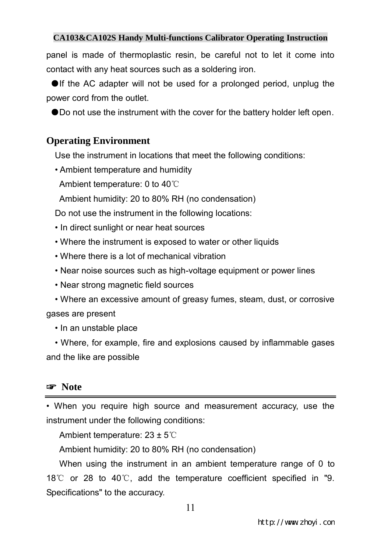panel is made of thermoplastic resin, be careful not to let it come into contact with any heat sources such as a soldering iron.

●If the AC adapter will not be used for a prolonged period, unplug the power cord from the outlet.

●Do not use the instrument with the cover for the battery holder left open.

#### **Operating Environment**

Use the instrument in locations that meet the following conditions:

• Ambient temperature and humidity

Ambient temperature: 0 to 40℃

Ambient humidity: 20 to 80% RH (no condensation)

Do not use the instrument in the following locations:

- In direct sunlight or near heat sources
- Where the instrument is exposed to water or other liquids
- Where there is a lot of mechanical vibration
- Near noise sources such as high-voltage equipment or power lines
- Near strong magnetic field sources
- Where an excessive amount of greasy fumes, steam, dust, or corrosive gases are present
	- In an unstable place

• Where, for example, fire and explosions caused by inflammable gases and the like are possible

#### ☞ **Note**

• When you require high source and measurement accuracy, use the instrument under the following conditions:

Ambient temperature: 23 ± 5℃

Ambient humidity: 20 to 80% RH (no condensation)

When using the instrument in an ambient temperature range of 0 to 18℃ or 28 to 40℃, add the temperature coefficient specified in "9. Specifications" to the accuracy.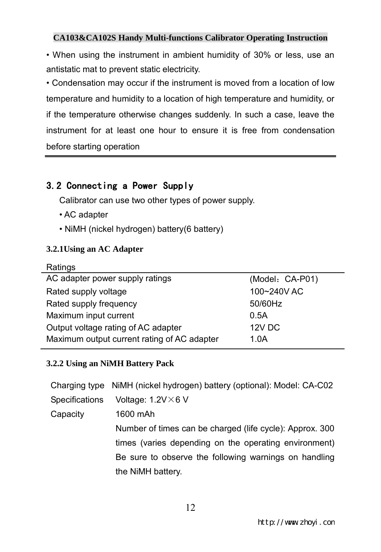• When using the instrument in ambient humidity of 30% or less, use an antistatic mat to prevent static electricity.

• Condensation may occur if the instrument is moved from a location of low temperature and humidity to a location of high temperature and humidity, or if the temperature otherwise changes suddenly. In such a case, leave the instrument for at least one hour to ensure it is free from condensation before starting operation

### 3.2 Connecting a Power Supply

Calibrator can use two other types of power supply.

- AC adapter
- NiMH (nickel hydrogen) battery(6 battery)

#### **3.2.1Using an AC Adapter**

| Ratings                                     |                 |
|---------------------------------------------|-----------------|
| AC adapter power supply ratings             | (Model: CA-P01) |
| Rated supply voltage                        | 100~240V AC     |
| Rated supply frequency                      | 50/60Hz         |
| Maximum input current                       | 0.5A            |
| Output voltage rating of AC adapter         | 12V DC          |
| Maximum output current rating of AC adapter | 1.0A            |
|                                             |                 |

#### **3.2.2 Using an NiMH Battery Pack**

| Charging type NiMH (nickel hydrogen) battery (optional): Model: CA-C02 |
|------------------------------------------------------------------------|
| Voltage: $1.2V \times 6V$                                              |
| 1600 mAh                                                               |
| Number of times can be charged (life cycle): Approx. 300               |
| times (varies depending on the operating environment)                  |
| Be sure to observe the following warnings on handling                  |
| the NiMH battery.                                                      |
|                                                                        |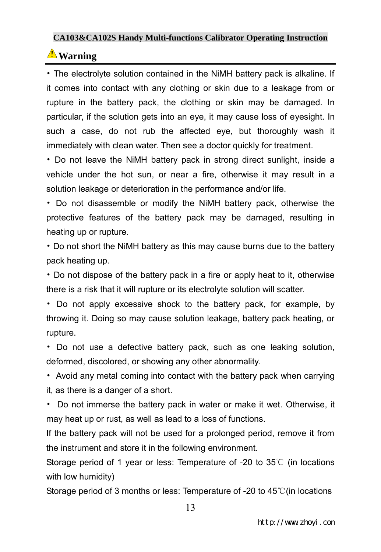• The electrolyte solution contained in the NiMH battery pack is alkaline. If it comes into contact with any clothing or skin due to a leakage from or rupture in the battery pack, the clothing or skin may be damaged. In particular, if the solution gets into an eye, it may cause loss of eyesight. In such a case, do not rub the affected eye, but thoroughly wash it immediately with clean water. Then see a doctor quickly for treatment.

• Do not leave the NiMH battery pack in strong direct sunlight, inside a vehicle under the hot sun, or near a fire, otherwise it may result in a solution leakage or deterioration in the performance and/or life.

• Do not disassemble or modify the NiMH battery pack, otherwise the protective features of the battery pack may be damaged, resulting in heating up or rupture.

• Do not short the NiMH battery as this may cause burns due to the battery pack heating up.

• Do not dispose of the battery pack in a fire or apply heat to it, otherwise there is a risk that it will rupture or its electrolyte solution will scatter.

• Do not apply excessive shock to the battery pack, for example, by throwing it. Doing so may cause solution leakage, battery pack heating, or rupture.

• Do not use a defective battery pack, such as one leaking solution, deformed, discolored, or showing any other abnormality.

• Avoid any metal coming into contact with the battery pack when carrying it, as there is a danger of a short.

• Do not immerse the battery pack in water or make it wet. Otherwise, it may heat up or rust, as well as lead to a loss of functions.

If the battery pack will not be used for a prolonged period, remove it from the instrument and store it in the following environment.

Storage period of 1 year or less: Temperature of -20 to 35℃ (in locations with low humidity)

Storage period of 3 months or less: Temperature of -20 to 45℃(in locations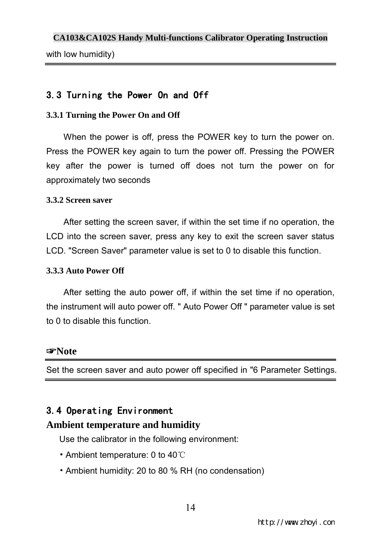with low humidity)

### 3.3 Turning the Power On and Off

#### **3.3.1 Turning the Power On and Off**

When the power is off, press the POWER key to turn the power on. Press the POWER key again to turn the power off. Pressing the POWER key after the power is turned off does not turn the power on for approximately two seconds

#### **3.3.2 Screen saver**

After setting the screen saver, if within the set time if no operation, the LCD into the screen saver, press any key to exit the screen saver status LCD. "Screen Saver" parameter value is set to 0 to disable this function.

#### **3.3.3 Auto Power Off**

After setting the auto power off, if within the set time if no operation, the instrument will auto power off. " Auto Power Off " parameter value is set to 0 to disable this function.

#### ☞**Note**

Set the screen saver and auto power off specified in "6 Parameter Settings.

### 3.4 Operating Environment

#### **Ambient temperature and humidity**

Use the calibrator in the following environment:

- Ambient temperature: 0 to 40℃
- Ambient humidity: 20 to 80 % RH (no condensation)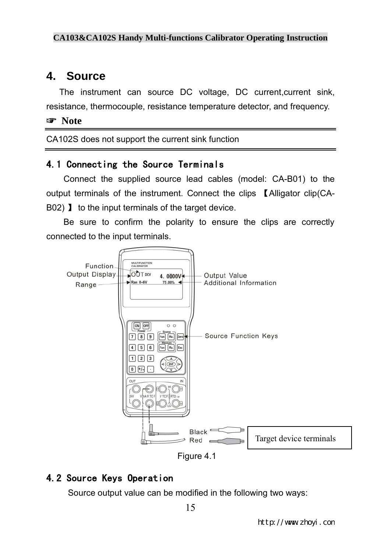### **4. Source**

The instrument can source DC voltage, DC current,current sink, resistance, thermocouple, resistance temperature detector, and frequency.

☞ **Note**

CA102S does not support the current sink function

### 4.1 Connecting the Source Terminals

Connect the supplied source lead cables (model: CA-B01) to the output terminals of the instrument. Connect the clips 【Alligator clip(CA-B02) 】 to the input terminals of the target device.

Be sure to confirm the polarity to ensure the clips are correctly connected to the input terminals.



Figure 4.1

### 4.2 Source Keys Operation

Source output value can be modified in the following two ways: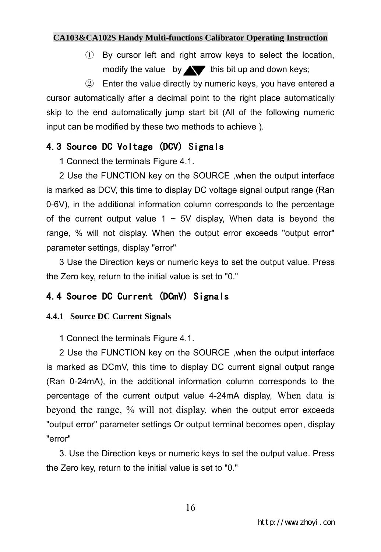① By cursor left and right arrow keys to select the location, modify the value by  $\blacktriangle\blacktriangledown$  this bit up and down keys;

② Enter the value directly by numeric keys, you have entered a cursor automatically after a decimal point to the right place automatically skip to the end automatically jump start bit (All of the following numeric input can be modified by these two methods to achieve ).

### 4.3 Source DC Voltage (DCV) Signals

1 Connect the terminals Figure 4.1.

2 Use the FUNCTION key on the SOURCE ,when the output interface is marked as DCV, this time to display DC voltage signal output range (Ran 0-6V), in the additional information column corresponds to the percentage of the current output value 1  $\sim$  5V display, When data is beyond the range, % will not display. When the output error exceeds "output error" parameter settings, display "error"

3 Use the Direction keys or numeric keys to set the output value. Press the Zero key, return to the initial value is set to "0."

### 4.4 Source DC Current (DCmV) Signals

#### **4.4.1 Source DC Current Signals**

1 Connect the terminals Figure 4.1.

2 Use the FUNCTION key on the SOURCE ,when the output interface is marked as DCmV, this time to display DC current signal output range (Ran 0-24mA), in the additional information column corresponds to the percentage of the current output value 4-24mA display, When data is beyond the range, % will not display. when the output error exceeds "output error" parameter settings Or output terminal becomes open, display "error"

3. Use the Direction keys or numeric keys to set the output value. Press the Zero key, return to the initial value is set to "0."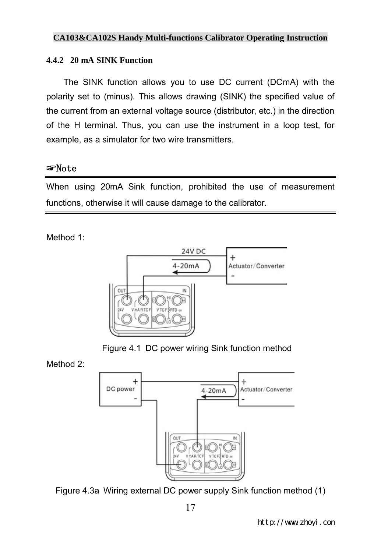#### **4.4.2 20 mA SINK Function**

The SINK function allows you to use DC current (DCmA) with the polarity set to (minus). This allows drawing (SINK) the specified value of the current from an external voltage source (distributor, etc.) in the direction of the H terminal. Thus, you can use the instrument in a loop test, for example, as a simulator for two wire transmitters.

#### ☞Note

When using 20mA Sink function, prohibited the use of measurement functions, otherwise it will cause damage to the calibrator.

Method 1:



Figure 4.1 DC power wiring Sink function method

Method 2:



Figure 4.3a Wiring external DC power supply Sink function method (1)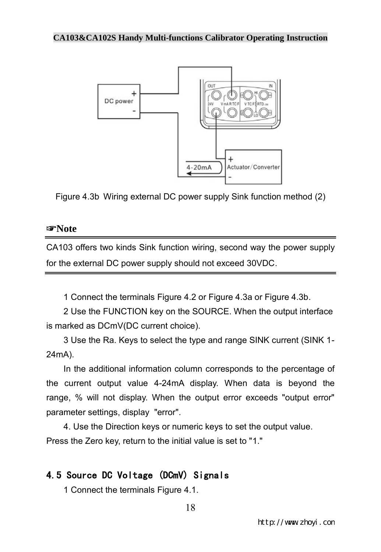

Figure 4.3b Wiring external DC power supply Sink function method (2)

#### ☞**Note**

CA103 offers two kinds Sink function wiring, second way the power supply for the external DC power supply should not exceed 30VDC.

1 Connect the terminals Figure 4.2 or Figure 4.3a or Figure 4.3b.

2 Use the FUNCTION key on the SOURCE. When the output interface is marked as DCmV(DC current choice).

3 Use the Ra. Keys to select the type and range SINK current (SINK 1- 24mA).

In the additional information column corresponds to the percentage of the current output value 4-24mA display. When data is beyond the range, % will not display. When the output error exceeds "output error" parameter settings, display "error".

4. Use the Direction keys or numeric keys to set the output value. Press the Zero key, return to the initial value is set to "1."

### 4.5 Source DC Voltage (DCmV) Signals

1 Connect the terminals Figure 4.1.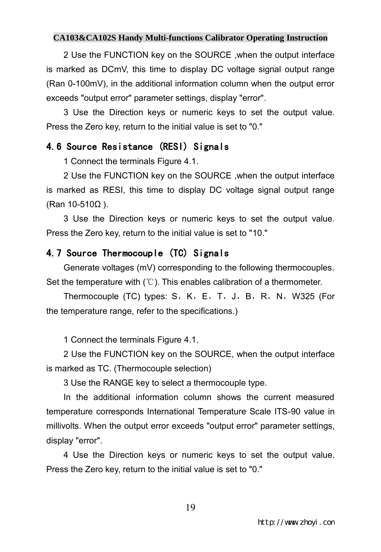2 Use the FUNCTION key on the SOURCE ,when the output interface is marked as DCmV, this time to display DC voltage signal output range (Ran 0-100mV), in the additional information column when the output error exceeds "output error" parameter settings, display "error".

3 Use the Direction keys or numeric keys to set the output value. Press the Zero key, return to the initial value is set to "0."

#### 4.6 Source Resistance (RESI) Signals

1 Connect the terminals Figure 4.1.

2 Use the FUNCTION key on the SOURCE ,when the output interface is marked as RESI, this time to display DC voltage signal output range (Ran 10-510Ω ).

3 Use the Direction keys or numeric keys to set the output value. Press the Zero key, return to the initial value is set to "10."

#### 4.7 Source Thermocouple (TC) Signals

Generate voltages (mV) corresponding to the following thermocouples. Set the temperature with (℃). This enables calibration of a thermometer.

Thermocouple (TC) types:  $S, K, E, T, J, B, R, N, W325$  (For the temperature range, refer to the specifications.)

1 Connect the terminals Figure 4.1.

2 Use the FUNCTION key on the SOURCE, when the output interface is marked as TC. (Thermocouple selection)

3 Use the RANGE key to select a thermocouple type.

In the additional information column shows the current measured temperature corresponds International Temperature Scale ITS-90 value in millivolts. When the output error exceeds "output error" parameter settings, display "error".

4 Use the Direction keys or numeric keys to set the output value. Press the Zero key, return to the initial value is set to "0."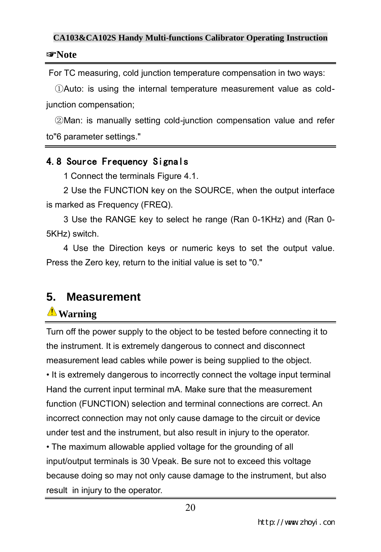#### ☞**Note**

For TC measuring, cold junction temperature compensation in two ways:

①Auto: is using the internal temperature measurement value as coldjunction compensation;

②Man: is manually setting cold-junction compensation value and refer to"6 parameter settings."

### 4.8 Source Frequency Signals

1 Connect the terminals Figure 4.1.

2 Use the FUNCTION key on the SOURCE, when the output interface is marked as Frequency (FREQ).

3 Use the RANGE key to select he range (Ran 0-1KHz) and (Ran 0- 5KHz) switch.

4 Use the Direction keys or numeric keys to set the output value. Press the Zero key, return to the initial value is set to "0."

### **5. Measurement**

### **Warning**

Turn off the power supply to the object to be tested before connecting it to the instrument. It is extremely dangerous to connect and disconnect measurement lead cables while power is being supplied to the object. • It is extremely dangerous to incorrectly connect the voltage input terminal Hand the current input terminal mA. Make sure that the measurement function (FUNCTION) selection and terminal connections are correct. An incorrect connection may not only cause damage to the circuit or device under test and the instrument, but also result in injury to the operator. • The maximum allowable applied voltage for the grounding of all input/output terminals is 30 Vpeak. Be sure not to exceed this voltage because doing so may not only cause damage to the instrument, but also result in injury to the operator.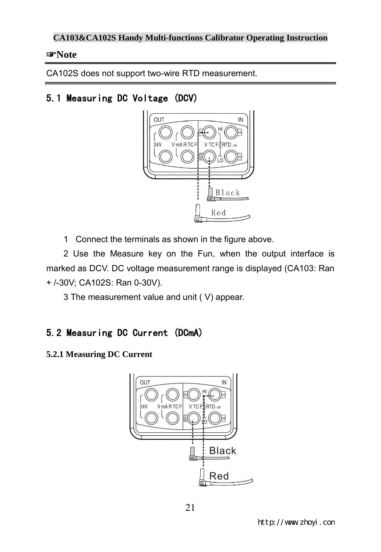#### ☞**Note**

CA102S does not support two-wire RTD measurement.

### 5.1 Measuring DC Voltage (DCV)



1 Connect the terminals as shown in the figure above.

2 Use the Measure key on the Fun, when the output interface is marked as DCV. DC voltage measurement range is displayed (CA103: Ran + /-30V; CA102S: Ran 0-30V).

3 The measurement value and unit ( V) appear.

### 5.2 Measuring DC Current (DCmA)

#### **5.2.1 Measuring DC Current**

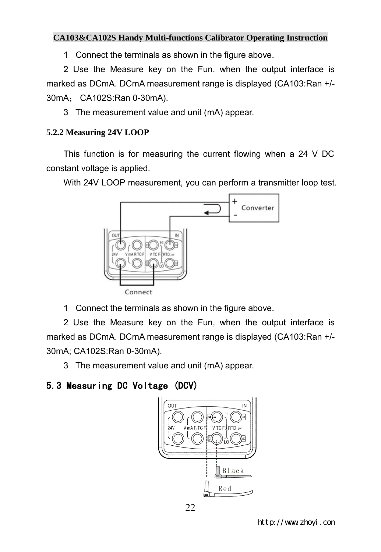1 Connect the terminals as shown in the figure above.

2 Use the Measure key on the Fun, when the output interface is marked as DCmA. DCmA measurement range is displayed (CA103:Ran +/- 30mA; CA102S:Ran 0-30mA).

3 The measurement value and unit (mA) appear.

#### **5.2.2 Measuring 24V LOOP**

This function is for measuring the current flowing when a 24 V DC constant voltage is applied.

With 24V LOOP measurement, you can perform a transmitter loop test.



1 Connect the terminals as shown in the figure above.

2 Use the Measure key on the Fun, when the output interface is marked as DCmA. DCmA measurement range is displayed (CA103:Ran +/- 30mA; CA102S:Ran 0-30mA).

3 The measurement value and unit (mA) appear.

### 5.3 Measuring DC Voltage (DCV)

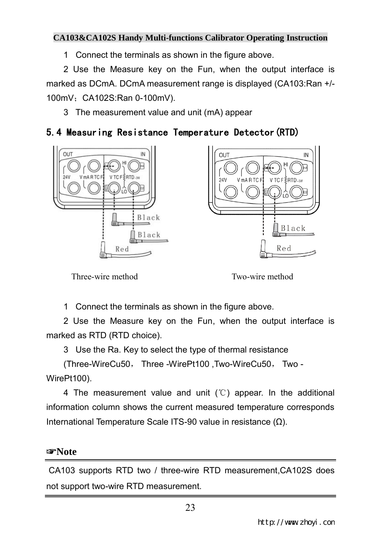1 Connect the terminals as shown in the figure above.

2 Use the Measure key on the Fun, when the output interface is marked as DCmA. DCmA measurement range is displayed (CA103:Ran +/- 100mV;CA102S:Ran 0-100mV).

3 The measurement value and unit (mA) appear

### 5.4 Measuring Resistance Temperature Detector(RTD)





Three-wire method Two-wire method

1 Connect the terminals as shown in the figure above.

2 Use the Measure key on the Fun, when the output interface is marked as RTD (RTD choice).

3 Use the Ra. Key to select the type of thermal resistance

(Three-WireCu50, Three -WirePt100 ,Two-WireCu50, Two - WirePt100).

4 The measurement value and unit (℃) appear. In the additional information column shows the current measured temperature corresponds International Temperature Scale ITS-90 value in resistance (Ω).

#### ☞**Note**

CA103 supports RTD two / three-wire RTD measurement,CA102S does not support two-wire RTD measurement.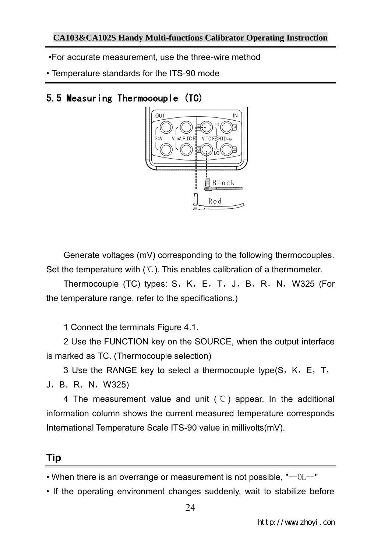- •For accurate measurement, use the three-wire method
- Temperature standards for the ITS-90 mode

### 5.5 Measuring Thermocouple (TC)



Generate voltages (mV) corresponding to the following thermocouples. Set the temperature with (℃). This enables calibration of a thermometer.

Thermocouple (TC) types: S, K, E, T, J, B, R, N, W325 (For the temperature range, refer to the specifications.)

1 Connect the terminals Figure 4.1.

2 Use the FUNCTION key on the SOURCE, when the output interface is marked as TC. (Thermocouple selection)

3 Use the RANGE key to select a thermocouple type $(S, K, E, T)$ J,B,R,N,W325)

4 The measurement value and unit (℃) appear, In the additional information column shows the current measured temperature corresponds International Temperature Scale ITS-90 value in millivolts(mV).

### **Tip**

• When there is an overrange or measurement is not possible, "--OL--"

• If the operating environment changes suddenly, wait to stabilize before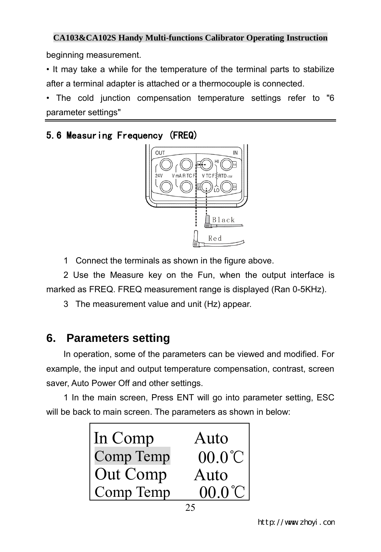beginning measurement.

• It may take a while for the temperature of the terminal parts to stabilize after a terminal adapter is attached or a thermocouple is connected.

• The cold junction compensation temperature settings refer to "6 parameter settings"

### 5.6 Measuring Frequency (FREQ)



1 Connect the terminals as shown in the figure above.

2 Use the Measure key on the Fun, when the output interface is marked as FREQ. FREQ measurement range is displayed (Ran 0-5KHz).

3 The measurement value and unit (Hz) appear.

### **6. Parameters setting**

In operation, some of the parameters can be viewed and modified. For example, the input and output temperature compensation, contrast, screen saver, Auto Power Off and other settings.

1 In the main screen, Press ENT will go into parameter setting, ESC will be back to main screen. The parameters as shown in below:

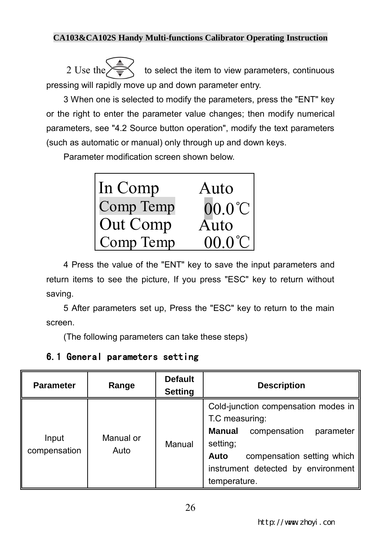2 Use the  $\overbrace{\overline{\phantom{A}}\phantom{A}}^{\phantom{A}}$  to select the item to view parameters, continuous pressing will rapidly move up and down parameter entry.

3 When one is selected to modify the parameters, press the "ENT" key or the right to enter the parameter value changes; then modify numerical parameters, see "4.2 Source button operation", modify the text parameters (such as automatic or manual) only through up and down keys.

Parameter modification screen shown below.



4 Press the value of the "ENT" key to save the input parameters and return items to see the picture, If you press "ESC" key to return without saving.

5 After parameters set up, Press the "ESC" key to return to the main screen.

(The following parameters can take these steps)

### 6.1 General parameters setting

| <b>Parameter</b>      | Range             | <b>Default</b><br><b>Setting</b> | <b>Description</b>                                                                                                                                                                                          |  |
|-----------------------|-------------------|----------------------------------|-------------------------------------------------------------------------------------------------------------------------------------------------------------------------------------------------------------|--|
| Input<br>compensation | Manual or<br>Auto | Manual                           | Cold-junction compensation modes in<br>T.C measuring:<br><b>Manual</b><br>compensation<br>parameter<br>setting;<br>Auto<br>compensation setting which<br>instrument detected by environment<br>temperature. |  |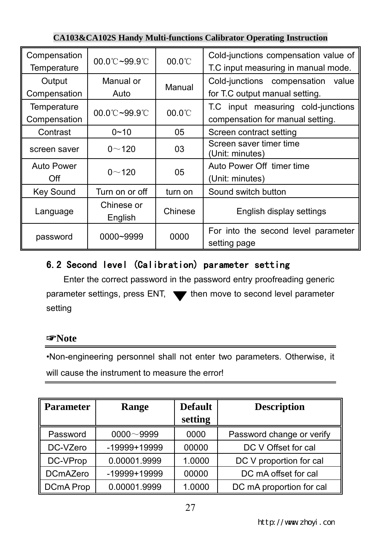| Compensation<br>Temperature | $00.0^{\circ}$ C~99.9 $^{\circ}$ C  | $00.0^\circ C$ | Cold-junctions compensation value of<br>T.C input measuring in manual mode. |  |  |
|-----------------------------|-------------------------------------|----------------|-----------------------------------------------------------------------------|--|--|
|                             |                                     |                |                                                                             |  |  |
| Output                      | Manual or                           | Manual         | Cold-junctions compensation<br>value                                        |  |  |
| Compensation                | Auto                                |                | for T.C output manual setting.                                              |  |  |
| Temperature                 | $00.0^{\circ}$ C ~99.9 $^{\circ}$ C | $00.0^\circ C$ | T.C input measuring cold-junctions                                          |  |  |
| Compensation                |                                     |                | compensation for manual setting.                                            |  |  |
| Contrast                    | $0 - 10$                            | 05             | Screen contract setting                                                     |  |  |
| screen saver                | $0 - 120$                           | 03             | Screen saver timer time<br>(Unit: minutes)                                  |  |  |
| Auto Power                  | $0 - 120$                           | 05             | Auto Power Off timer time                                                   |  |  |
| Off                         |                                     |                | (Unit: minutes)                                                             |  |  |
| Key Sound                   | Turn on or off                      | turn on        | Sound switch button                                                         |  |  |
|                             | Chinese or                          |                |                                                                             |  |  |
| Language                    | Chinese<br>English                  |                | English display settings                                                    |  |  |
|                             | 0000~9999                           | 0000           | For into the second level parameter                                         |  |  |
| password                    |                                     |                | setting page                                                                |  |  |

### 6.2 Second level (Calibration) parameter setting

Enter the correct password in the password entry proofreading generic parameter settings, press ENT,  $\blacktriangledown$  then move to second level parameter setting

#### ☞**Note**

•Non-engineering personnel shall not enter two parameters. Otherwise, it will cause the instrument to measure the error!

| <b>Parameter</b> | Range          | <b>Default</b> | <b>Description</b>        |  |
|------------------|----------------|----------------|---------------------------|--|
|                  |                | setting        |                           |  |
| Password         | $0000 - 9999$  | 0000           | Password change or verify |  |
| DC-VZero         | $-19999+19999$ | 00000          | DC V Offset for cal       |  |
| DC-VProp         | 0.00001.9999   | 1.0000         | DC V proportion for cal   |  |
| <b>DCmAZero</b>  | -19999+19999   | 00000          | DC mA offset for cal      |  |
| <b>DCmA Prop</b> | 0.00001.9999   | 1.0000         | DC mA proportion for cal  |  |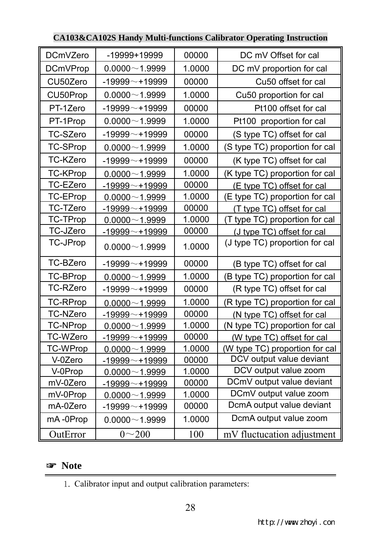| <b>DCmVZero</b> | -19999+19999      | 00000  | DC mV Offset for cal           |  |
|-----------------|-------------------|--------|--------------------------------|--|
| <b>DCmVProp</b> | $0.0000 - 1.9999$ | 1.0000 | DC mV proportion for cal       |  |
| CU50Zero        | $-19999 - +19999$ | 00000  | Cu50 offset for cal            |  |
| CU50Prop        | $0.0000 - 1.9999$ | 1.0000 | Cu50 proportion for cal        |  |
| PT-1Zero        | $-19999 - +19999$ | 00000  | Pt100 offset for cal           |  |
| PT-1Prop        | $0.0000 - 1.9999$ | 1.0000 | Pt100 proportion for cal       |  |
| TC-SZero        | $-19999 - +19999$ | 00000  | (S type TC) offset for cal     |  |
| <b>TC-SProp</b> | $0.0000 - 1.9999$ | 1.0000 | (S type TC) proportion for cal |  |
| TC-KZero        | $-19999 - +19999$ | 00000  | (K type TC) offset for cal     |  |
| <b>TC-KProp</b> | $0.0000 - 1.9999$ | 1.0000 | (K type TC) proportion for cal |  |
| TC-EZero        | $-19999 - 19999$  | 00000  | (E type TC) offset for cal     |  |
| TC-EProp        | $0.0000 - 1.9999$ | 1.0000 | (E type TC) proportion for cal |  |
| TC-TZero        | $-19999 - +19999$ | 00000  | (T type TC) offset for cal     |  |
| TC-TProp        | $0.0000 - 1.9999$ | 1.0000 | (T type TC) proportion for cal |  |
| TC-JZero        | $-19999 - +19999$ | 00000  | (J type TC) offset for cal     |  |
| <b>TC-JProp</b> | $0.0000 - 1.9999$ | 1.0000 | (J type TC) proportion for cal |  |
| TC-BZero        | $-19999 - 19999$  | 00000  | (B type TC) offset for cal     |  |
| TC-BProp        | $0.0000 - 1.9999$ | 1.0000 | (B type TC) proportion for cal |  |
| <b>TC-RZero</b> | $-19999 - +19999$ | 00000  | (R type TC) offset for cal     |  |
| <b>TC-RProp</b> | $0.0000 - 1.9999$ | 1.0000 | (R type TC) proportion for cal |  |
| <b>TC-NZero</b> | $-19999 - +19999$ | 00000  | (N type TC) offset for cal     |  |
| <b>TC-NProp</b> | $0.0000 - 1.9999$ | 1.0000 | (N type TC) proportion for cal |  |
| <b>TC-WZero</b> | $-19999 - 19999$  | 00000  | (W type TC) offset for cal     |  |
| <b>TC-WProp</b> | $0.0000 - 1.9999$ | 1.0000 | (W type TC) proportion for cal |  |
| V-0Zero         | $-19999 - +19999$ | 00000  | DCV output value deviant       |  |
| V-0Prop         | $0.0000 - 1.9999$ | 1.0000 | DCV output value zoom          |  |
| mV-0Zero        | $-19999 - +19999$ | 00000  | DCmV output value deviant      |  |
| mV-0Prop        | $0.0000 - 1.9999$ | 1.0000 | DCmV output value zoom         |  |
| mA-0Zero        | $-19999 - +19999$ | 00000  | DcmA output value deviant      |  |
| mA-0Prop        | $0.0000 - 1.9999$ | 1.0000 | DcmA output value zoom         |  |
| OutError        | $0 - 200$         | 100    | mV fluctucation adjustment     |  |

### ☞ **Note**

1. Calibrator input and output calibration parameters: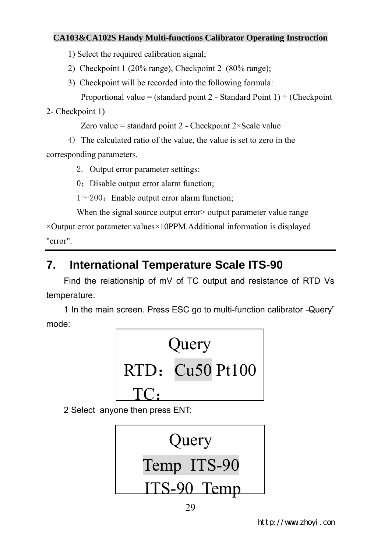1) Select the required calibration signal;

2) Checkpoint 1 (20% range), Checkpoint 2 (80% range);

3) Checkpoint will be recorded into the following formula:

Proportional value = (standard point 2 - Standard Point 1)  $\div$  (Checkpoint

2- Checkpoint 1)

Zero value = standard point 2 - Checkpoint  $2 \times$ Scale value

4) The calculated ratio of the value, the value is set to zero in the corresponding parameters.

2. Output error parameter settings:

0: Disable output error alarm function;

 $1 \sim 200$ : Enable output error alarm function;

When the signal source output error is output parameter value range

×Output error parameter values×10PPM.Additional information is displayed "error".

## **7. International Temperature Scale ITS-90**

Find the relationship of mV of TC output and resistance of RTD Vs temperature.

1 In the main screen. Press ESC go to multi-function calibrator -Query" mode:



2 Select anyone then press ENT:

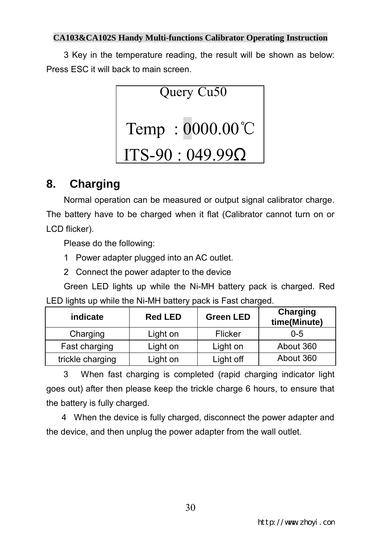3 Key in the temperature reading, the result will be shown as below: Press ESC it will back to main screen.



### **8. Charging**

Normal operation can be measured or output signal calibrator charge. The battery have to be charged when it flat (Calibrator cannot turn on or LCD flicker).

Please do the following:

- 1 Power adapter plugged into an AC outlet.
- 2 Connect the power adapter to the device

Green LED lights up while the Ni-MH battery pack is charged. Red LED lights up while the Ni-MH battery pack is Fast charged.

| indicate         | <b>Red LED</b> | <b>Green LED</b> | Charging<br>time(Minute) |
|------------------|----------------|------------------|--------------------------|
| Charging         | Light on       | Flicker          | $0 - 5$                  |
| Fast charging    | Light on       | Light on         | About 360                |
| trickle charging | Light on       | Light off        | About 360                |

3 When fast charging is completed (rapid charging indicator light goes out) after then please keep the trickle charge 6 hours, to ensure that the battery is fully charged.

 4 When the device is fully charged, disconnect the power adapter and the device, and then unplug the power adapter from the wall outlet.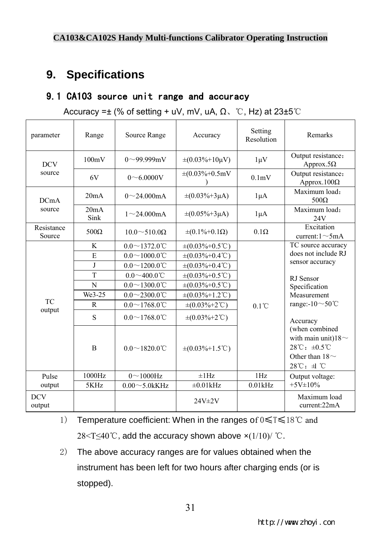# **9. Specifications**

### 9.1 CA103 source unit range and accuracy

| parameter            | Range        | Source Range             | Accuracy                            | Setting<br>Resolution | Remarks                                                                                                                                                                         |  |
|----------------------|--------------|--------------------------|-------------------------------------|-----------------------|---------------------------------------------------------------------------------------------------------------------------------------------------------------------------------|--|
| <b>DCV</b><br>source | 100mV        | $0\sim$ 99.999mV         | $\pm (0.03\% + 10\mu V)$            | $1 \mu V$             | Output resistance:<br>Approx.5 $\Omega$                                                                                                                                         |  |
|                      | 6V           | $0 - 6.0000V$            | $\pm (0.03\% + 0.5 \text{mV})$      | 0.1 <sub>m</sub> V    | Output resistance:<br>Approx. $100\Omega$                                                                                                                                       |  |
| DCmA<br>source       | 20mA         | $0 - 24.000 \text{mA}$   | $\pm (0.03\% + 3\mu A)$             | $1\mu A$              | Maximum load:<br>$500\Omega$                                                                                                                                                    |  |
|                      | 20mA<br>Sink | $1 - 24.000 \text{mA}$   | $\pm (0.05\% + 3\mu A)$             | $1\mu A$              | Maximum load:<br>24V                                                                                                                                                            |  |
| Resistance<br>Source | $500\Omega$  | $10.0 \sim 510.0 \Omega$ | $\pm (0.1\% + 0.1\Omega)$           | $0.1\Omega$           | Excitation<br>current: $1 \sim 5$ mA                                                                                                                                            |  |
|                      | K            | $0.0 \sim 1372.0$ °C     | $\pm (0.03\% + 0.5\degree\text{C})$ |                       | TC source accuracy<br>does not include RJ<br>sensor accuracy<br>RJ Sensor<br>Specification<br>Measurement<br>range:- $10 \sim 50$ °C                                            |  |
|                      | E            | $0.0 \sim 1000.0$ °C     | $\pm (0.03\% + 0.4\degree C)$       |                       |                                                                                                                                                                                 |  |
|                      | J            | $0.0 \sim 1200.0$ °C     | $\pm (0.03\% + 0.4\degree C)$       |                       |                                                                                                                                                                                 |  |
|                      | T            | $0.0 \sim 400.0$ °C      | $\pm (0.03\% + 0.5\degree\text{C})$ |                       |                                                                                                                                                                                 |  |
|                      | N            | $0.0 \sim 1300.0$ °C     | $\pm (0.03\% + 0.5\degree\text{C})$ |                       |                                                                                                                                                                                 |  |
|                      | We3-25       | $0.0 - 2300.0$ °C        | $\pm (0.03\% + 1.2\degree\text{C})$ |                       |                                                                                                                                                                                 |  |
| <b>TC</b><br>output  | $\mathsf{R}$ | $0.0 \sim 1768.0$ °C     | $\pm (0.03\% + 2\degree\text{C})$   | $0.1^{\circ}$ C       |                                                                                                                                                                                 |  |
|                      | S            | $0.0 \sim 1768.0$ °C     | $\pm (0.03\% + 2\degree\text{C})$   |                       | Accuracy<br>(when combined<br>with main unit)18 $\sim$<br>$28^{\circ}\text{C}:\pm 0.5^{\circ}\text{C}$<br>Other than $18\sim$<br>$28^{\circ}\text{C}$ : $\pm 1^{\circ}\text{C}$ |  |
|                      | B            | $0.0 \sim 1820.0$ °C     | $\pm (0.03\% + 1.5\degree\text{C})$ |                       |                                                                                                                                                                                 |  |
| Pulse                | 1000Hz       | $0 - 1000$ Hz            | ±1Hz                                | 1Hz                   | Output voltage:                                                                                                                                                                 |  |
| output               | 5KHz         | $0.00 - 5.0$ kKHz        | $\pm 0.01$ kHz                      | 0.01kHz               | $+5V \pm 10\%$                                                                                                                                                                  |  |
| <b>DCV</b><br>output |              |                          | $24V \pm 2V$                        |                       | Maximum load<br>current:22mA                                                                                                                                                    |  |

Accuracy = $\pm$  (% of setting + uV, mV, uA,  $\Omega$ , °C, Hz) at 23 $\pm$ 5°C

1) Temperature coefficient: When in the ranges of 0≤T≤18℃ and 28<T≤40℃,add the accuracy shown above **×**(1/10)/ ℃.

2) The above accuracy ranges are for values obtained when the instrument has been left for two hours after charging ends (or is stopped).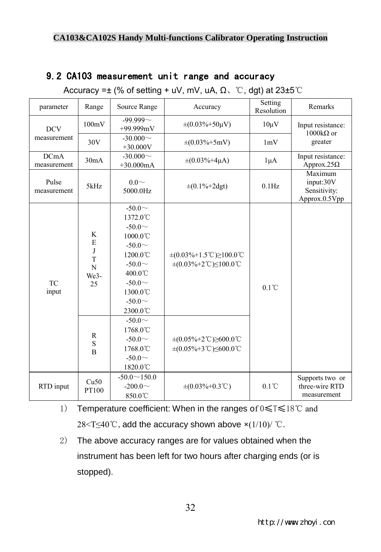| parameter                  | Range                               | Source Range                                                                                                                                                          | Accuracy                                                                                                                   | Setting<br>Resolution | Remarks                                               |
|----------------------------|-------------------------------------|-----------------------------------------------------------------------------------------------------------------------------------------------------------------------|----------------------------------------------------------------------------------------------------------------------------|-----------------------|-------------------------------------------------------|
| <b>DCV</b><br>measurement  | 100mV                               | $-99.999 -$<br>$+99.999mV$                                                                                                                                            | $\pm (0.03\% + 50\,\mu\text{V})$                                                                                           | $10\mu$ V             | Input resistance:<br>$1000k\Omega$ or                 |
|                            | 30V                                 | $-30.000 \sim$<br>$+30.000V$                                                                                                                                          | $\pm (0.03\% + 5mV)$                                                                                                       | 1mV                   | greater                                               |
| <b>DCmA</b><br>measurement | 30mA                                | $-30.000 \sim$<br>$+30.000mA$                                                                                                                                         | $\pm (0.03\% + 4\mu A)$                                                                                                    | $1 \mu A$             | Input resistance:<br>Approx.25 $\Omega$               |
| Pulse<br>measurement       | 5kHz                                | $0.0\sim$<br>5000.0Hz                                                                                                                                                 | $\pm (0.1\% + 2\text{dgt})$                                                                                                | $0.1$ Hz              | Maximum<br>input:30V<br>Sensitivity:<br>Approx.0.5Vpp |
| <b>TC</b><br>input         | K<br>E<br>J<br>T<br>N<br>We3-<br>25 | $-50.0$ ~<br>1372.0°C<br>$-50.0$ ~<br>$1000.0^{\circ}$ C<br>$-50.0$ ~<br>$1200.0^{\circ}$ C<br>$-50.0$ ~<br>400.0°C<br>$-50.0$ ~<br>1300.0°C<br>$-50.0$ ~<br>2300.0°C | $\pm (0.03\% + 1.5\degree\text{C}) \ge 100.0\degree\text{C}$<br>$\pm (0.03\% + 2\degree\text{C}) \le 100.0\degree\text{C}$ | $0.1^{\circ}$ C       |                                                       |
|                            | R<br>S<br>$\overline{B}$            | $-50.0 \sim$<br>1768.0°C<br>$-50.0\sim$<br>1768.0°C<br>$-50.0$ ~<br>1820.0°C                                                                                          | $\pm (0.05\% + 2\degree\text{C}) \geq 600.0\degree\text{C}$<br>$\pm (0.05\% + 3\degree\text{C}) \leq 600.0\degree\text{C}$ |                       |                                                       |
| RTD input                  | Cu50<br>PT100                       | $-50.0 \sim 150.0$<br>$-200.0$ ~<br>850.0°C                                                                                                                           | $\pm (0.03\% + 0.3\degree\text{C})$                                                                                        | $0.1^{\circ}$ C       | Supports two or<br>three-wire RTD<br>measurement      |

### 9.2 CA103 measurement unit range and accuracy

Accuracy = $\pm$  (% of setting + uV, mV, uA,  $\Omega$ , °C, dgt) at 23 $\pm$ 5°C

1) Temperature coefficient: When in the ranges of 0≤T≤18℃ and 28<T≤40℃,add the accuracy shown above **×**(1/10)/ ℃.

2) The above accuracy ranges are for values obtained when the instrument has been left for two hours after charging ends (or is stopped).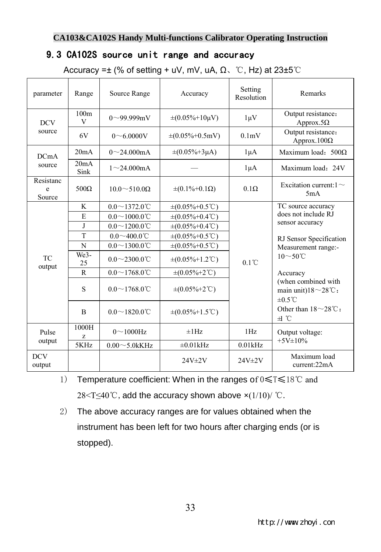#### 9.3 CA102S source unit range and accuracy

Accuracy = $\pm$  (% of setting + uV, mV, uA,  $\Omega$ , °C, Hz) at 23 $\pm$ 5°C

| parameter                | Range                   | Source Range              | Accuracy                            | Setting<br>Resolution | Remarks                                                                                                                                                                                                                                                                               |  |
|--------------------------|-------------------------|---------------------------|-------------------------------------|-----------------------|---------------------------------------------------------------------------------------------------------------------------------------------------------------------------------------------------------------------------------------------------------------------------------------|--|
| <b>DCV</b><br>source     | 100 <sub>m</sub><br>V   | $0 - 99.999$ mV           | $\pm (0.05\% + 10\mu V)$            | $1 \mu V$             | Output resistance:<br>Approx.5 $\Omega$                                                                                                                                                                                                                                               |  |
|                          | 6V                      | $0 \sim 6.0000$ V         | $\pm (0.05\% + 0.5 \text{mV})$      | 0.1 <sub>m</sub> V    | Output resistance:<br>Approx.100 $\Omega$                                                                                                                                                                                                                                             |  |
| DCmA<br>source           | 20mA                    | $0 \sim 24.000 \text{mA}$ | $\pm (0.05\% + 3\mu A)$             | $1\mu A$              | Maximum load: $500\Omega$                                                                                                                                                                                                                                                             |  |
|                          | 20mA<br>Sink            | $1 - 24.000 \text{mA}$    |                                     | $1\mu A$              | Maximum load: 24V                                                                                                                                                                                                                                                                     |  |
| Resistanc<br>e<br>Source | $500\Omega$             | $10.0 \sim 510.0 \Omega$  | $\pm (0.1\% + 0.1\Omega)$           | $0.1\Omega$           | Excitation current: $1 \sim$<br>5mA                                                                                                                                                                                                                                                   |  |
|                          | K                       | $0.0 \sim 1372.0$ °C      | $\pm (0.05\% + 0.5\degree\text{C})$ |                       | TC source accuracy<br>does not include RJ<br>sensor accuracy<br>RJ Sensor Specification<br>Measurement range:-<br>$10\sim 50^{\circ}$ C<br>Accuracy<br>(when combined with<br>main unit) $18 \sim 28$ °C:<br>$\pm 0.5^{\circ}$ C<br>Other than $18 \sim 28^{\circ}$ C:<br><b>±l</b> ℃ |  |
|                          | E                       | $0.0 \sim 1000.0$ °C      | $\pm (0.05\% + 0.4\degree C)$       |                       |                                                                                                                                                                                                                                                                                       |  |
|                          | J                       | $0.0 \sim 1200.0$ °C      | $\pm (0.05\% + 0.4\degree C)$       |                       |                                                                                                                                                                                                                                                                                       |  |
|                          | T                       | $0.0 \sim 400.0$ °C       | $\pm (0.05\% + 0.5\degree\text{C})$ |                       |                                                                                                                                                                                                                                                                                       |  |
|                          | N                       | $0.0 \sim 1300.0$ °C      | $\pm (0.05\% + 0.5\degree\text{C})$ |                       |                                                                                                                                                                                                                                                                                       |  |
| <b>TC</b>                | We <sub>3</sub> -<br>25 | $0.0 \sim 2300.0$ °C      | $\pm (0.05\% + 1.2\degree C)$       | $0.1^{\circ}$ C       |                                                                                                                                                                                                                                                                                       |  |
| output                   | $\mathsf{R}$            | $0.0 \sim 1768.0$ °C      | $\pm (0.05\% + 2\degree\text{C})$   |                       |                                                                                                                                                                                                                                                                                       |  |
|                          | S                       | $0.0 \sim 1768.0$ °C      | $\pm (0.05\% + 2\degree\text{C})$   |                       |                                                                                                                                                                                                                                                                                       |  |
|                          | B                       | $0.0 \sim 1820.0$ °C      | $\pm (0.05\% + 1.5\degree\text{C})$ |                       |                                                                                                                                                                                                                                                                                       |  |
| Pulse<br>output          | 1000H<br>Z.             | $0 \sim 1000$ Hz          | ±1Hz                                | 1Hz                   | Output voltage:<br>$+5V\pm10%$                                                                                                                                                                                                                                                        |  |
|                          | 5KHz                    | $0.00 - 5.0$ kKHz         | $\pm 0.01$ kHz                      | $0.01$ <sub>kHz</sub> |                                                                                                                                                                                                                                                                                       |  |
| <b>DCV</b><br>output     |                         |                           | $24V \pm 2V$                        | $24V \pm 2V$          | Maximum load<br>current:22mA                                                                                                                                                                                                                                                          |  |

1) Temperature coefficient: When in the ranges of 0≤T≤18℃ and 28<T≤40℃,add the accuracy shown above **×**(1/10)/ ℃.

2) The above accuracy ranges are for values obtained when the instrument has been left for two hours after charging ends (or is stopped).